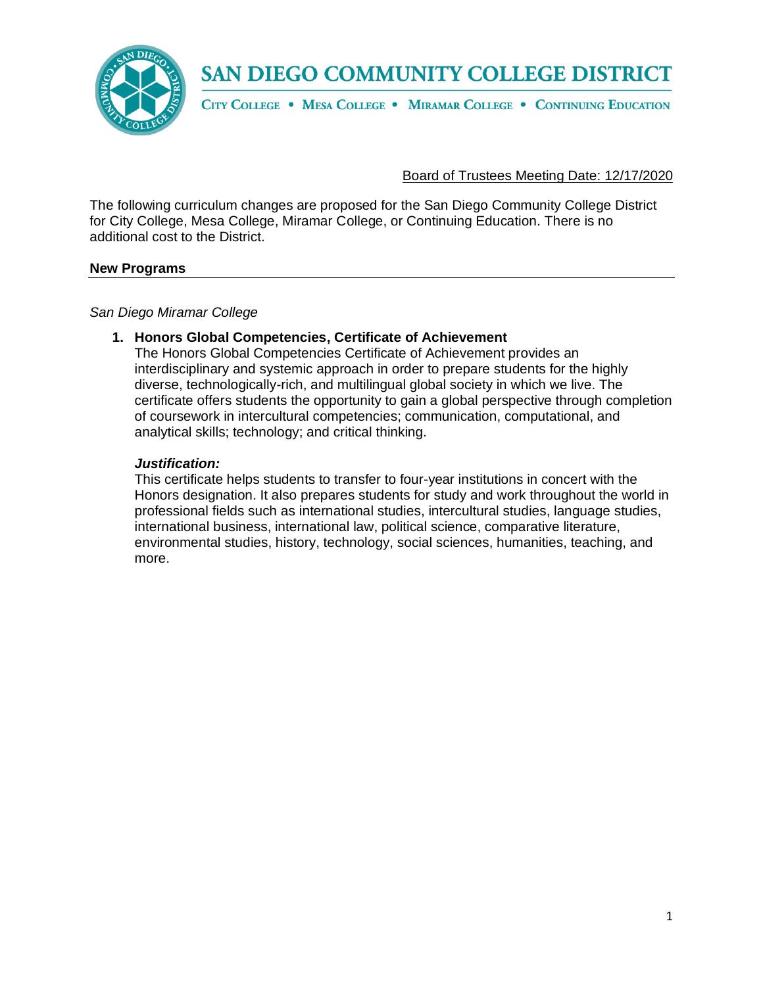

CITY COLLEGE . MESA COLLEGE . MIRAMAR COLLEGE . CONTINUING EDUCATION

## Board of Trustees Meeting Date: 12/17/2020

The following curriculum changes are proposed for the San Diego Community College District for City College, Mesa College, Miramar College, or Continuing Education. There is no additional cost to the District.

#### **New Programs**

*San Diego Miramar College*

#### **1. Honors Global Competencies, Certificate of Achievement**

The Honors Global Competencies Certificate of Achievement provides an interdisciplinary and systemic approach in order to prepare students for the highly diverse, technologically-rich, and multilingual global society in which we live. The certificate offers students the opportunity to gain a global perspective through completion of coursework in intercultural competencies; communication, computational, and analytical skills; technology; and critical thinking.

#### *Justification:*

This certificate helps students to transfer to four-year institutions in concert with the Honors designation. It also prepares students for study and work throughout the world in professional fields such as international studies, intercultural studies, language studies, international business, international law, political science, comparative literature, environmental studies, history, technology, social sciences, humanities, teaching, and more.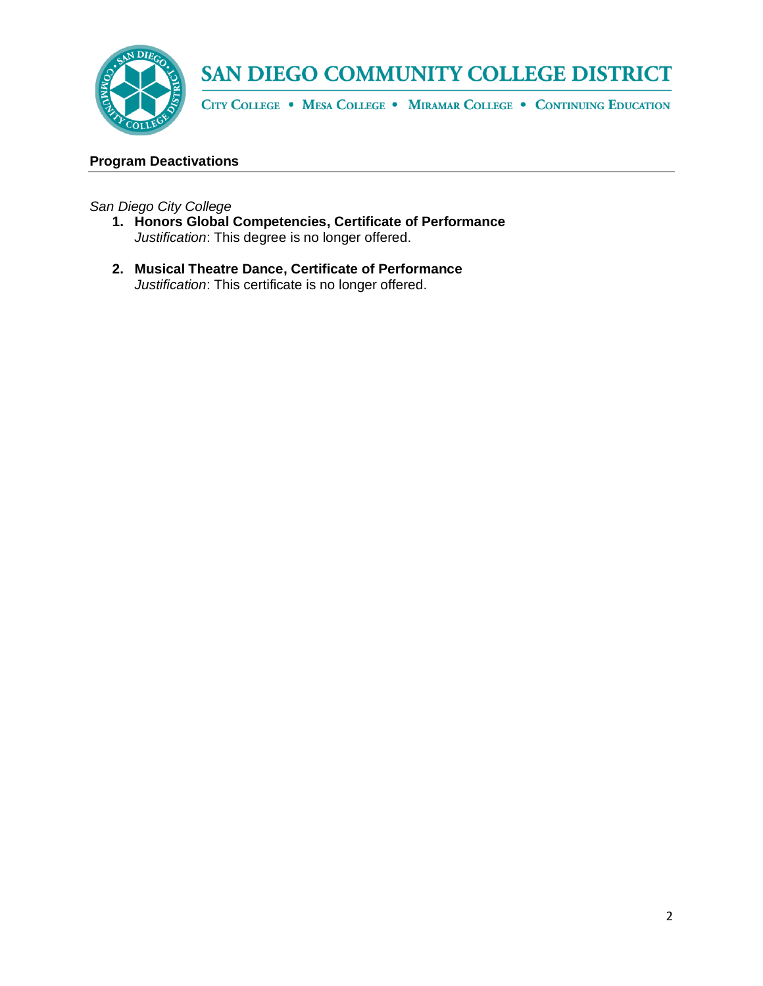

CITY COLLEGE . MESA COLLEGE . MIRAMAR COLLEGE . CONTINUING EDUCATION

#### **Program Deactivations**

*San Diego City College*

- **1. Honors Global Competencies, Certificate of Performance**  *Justification*: This degree is no longer offered.
- **2. Musical Theatre Dance, Certificate of Performance**  *Justification*: This certificate is no longer offered.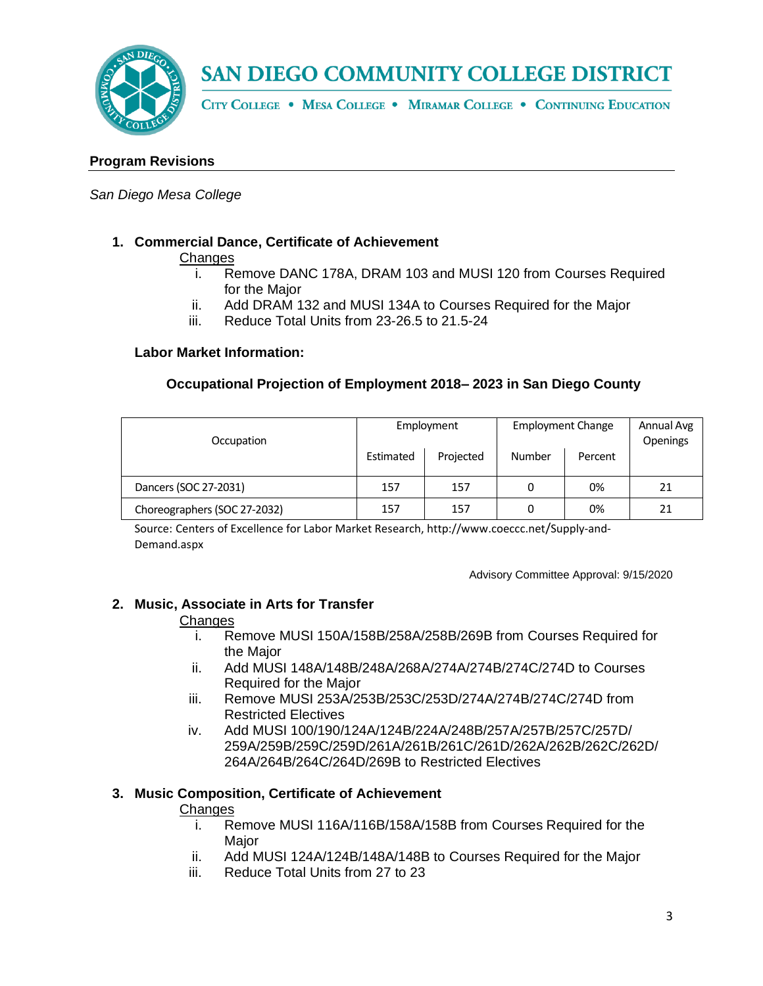

CITY COLLEGE . MESA COLLEGE . MIRAMAR COLLEGE . CONTINUING EDUCATION

#### **Program Revisions**

#### *San Diego Mesa College*

#### **1. Commercial Dance, Certificate of Achievement**

#### **Changes**

- i. Remove DANC 178A, DRAM 103 and MUSI 120 from Courses Required for the Major
- ii. Add DRAM 132 and MUSI 134A to Courses Required for the Major
- iii. Reduce Total Units from 23-26.5 to 21.5-24

#### **Labor Market Information:**

## **Occupational Projection of Employment 2018– 2023 in San Diego County**

| Occupation                   | Employment |           | <b>Employment Change</b> |         | Annual Avg<br>Openings |
|------------------------------|------------|-----------|--------------------------|---------|------------------------|
|                              | Estimated  | Projected | Number                   | Percent |                        |
| Dancers (SOC 27-2031)        | 157        | 157       | 0                        | 0%      | 21                     |
| Choreographers (SOC 27-2032) | 157        | 157       |                          | 0%      | 21                     |

Source: Centers of Excellence for Labor Market Research, http://www.coeccc.net/Supply-and-Demand.aspx

Advisory Committee Approval: 9/15/2020

#### **2. Music, Associate in Arts for Transfer**

#### **Changes**

- i. Remove MUSI 150A/158B/258A/258B/269B from Courses Required for the Major
- ii. Add MUSI 148A/148B/248A/268A/274A/274B/274C/274D to Courses Required for the Major
- iii. Remove MUSI 253A/253B/253C/253D/274A/274B/274C/274D from Restricted Electives
- iv. Add MUSI 100/190/124A/124B/224A/248B/257A/257B/257C/257D/ 259A/259B/259C/259D/261A/261B/261C/261D/262A/262B/262C/262D/ 264A/264B/264C/264D/269B to Restricted Electives

#### **3. Music Composition, Certificate of Achievement**

#### **Changes**

- i. Remove MUSI 116A/116B/158A/158B from Courses Required for the Major
- ii. Add MUSI 124A/124B/148A/148B to Courses Required for the Major
- iii. Reduce Total Units from 27 to 23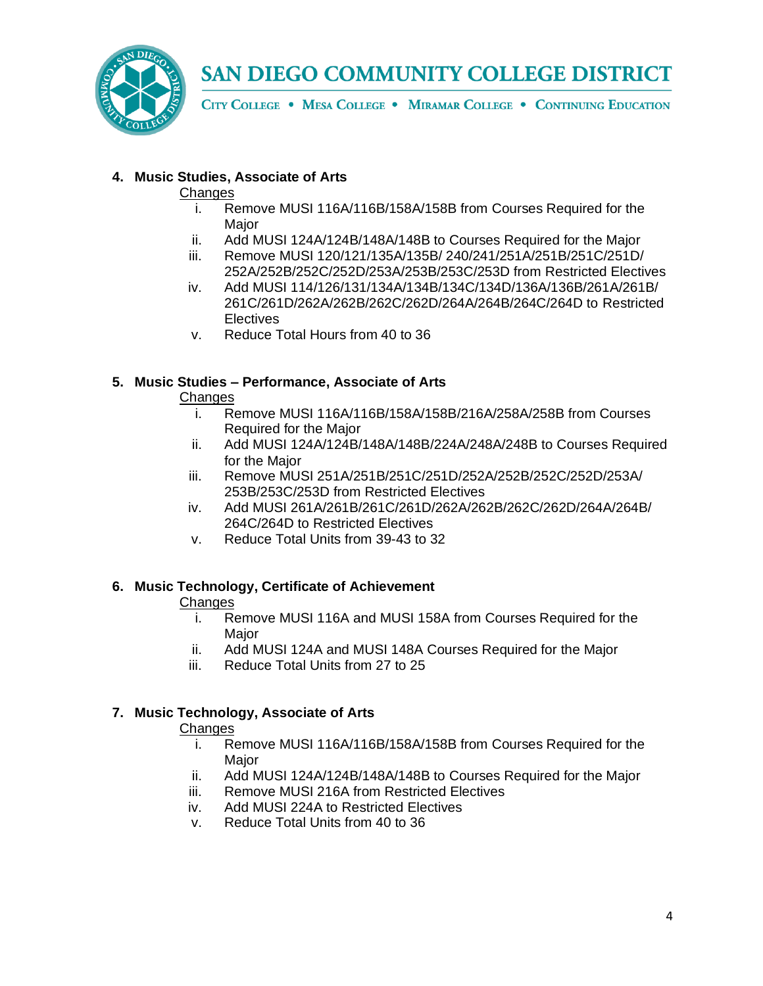

CITY COLLEGE . MESA COLLEGE . MIRAMAR COLLEGE . CONTINUING EDUCATION

## **4. Music Studies, Associate of Arts**

#### **Changes**

- i. Remove MUSI 116A/116B/158A/158B from Courses Required for the **Major**
- ii. Add MUSI 124A/124B/148A/148B to Courses Required for the Major
- iii. Remove MUSI 120/121/135A/135B/ 240/241/251A/251B/251C/251D/ 252A/252B/252C/252D/253A/253B/253C/253D from Restricted Electives
- iv. Add MUSI 114/126/131/134A/134B/134C/134D/136A/136B/261A/261B/ 261C/261D/262A/262B/262C/262D/264A/264B/264C/264D to Restricted **Electives**
- v. Reduce Total Hours from 40 to 36

## **5. Music Studies – Performance, Associate of Arts**

#### **Changes**

- i. Remove MUSI 116A/116B/158A/158B/216A/258A/258B from Courses Required for the Major
- ii. Add MUSI 124A/124B/148A/148B/224A/248A/248B to Courses Required for the Major
- iii. Remove MUSI 251A/251B/251C/251D/252A/252B/252C/252D/253A/ 253B/253C/253D from Restricted Electives
- iv. Add MUSI 261A/261B/261C/261D/262A/262B/262C/262D/264A/264B/ 264C/264D to Restricted Electives
- v. Reduce Total Units from 39-43 to 32

# **6. Music Technology, Certificate of Achievement**

# **Changes**

- i. Remove MUSI 116A and MUSI 158A from Courses Required for the Major
- ii. Add MUSI 124A and MUSI 148A Courses Required for the Major
- iii. Reduce Total Units from 27 to 25

# **7. Music Technology, Associate of Arts**

#### **Changes**

- i. Remove MUSI 116A/116B/158A/158B from Courses Required for the Major
- ii. Add MUSI 124A/124B/148A/148B to Courses Required for the Major
- iii. Remove MUSI 216A from Restricted Electives
- iv. Add MUSI 224A to Restricted Electives
- v. Reduce Total Units from 40 to 36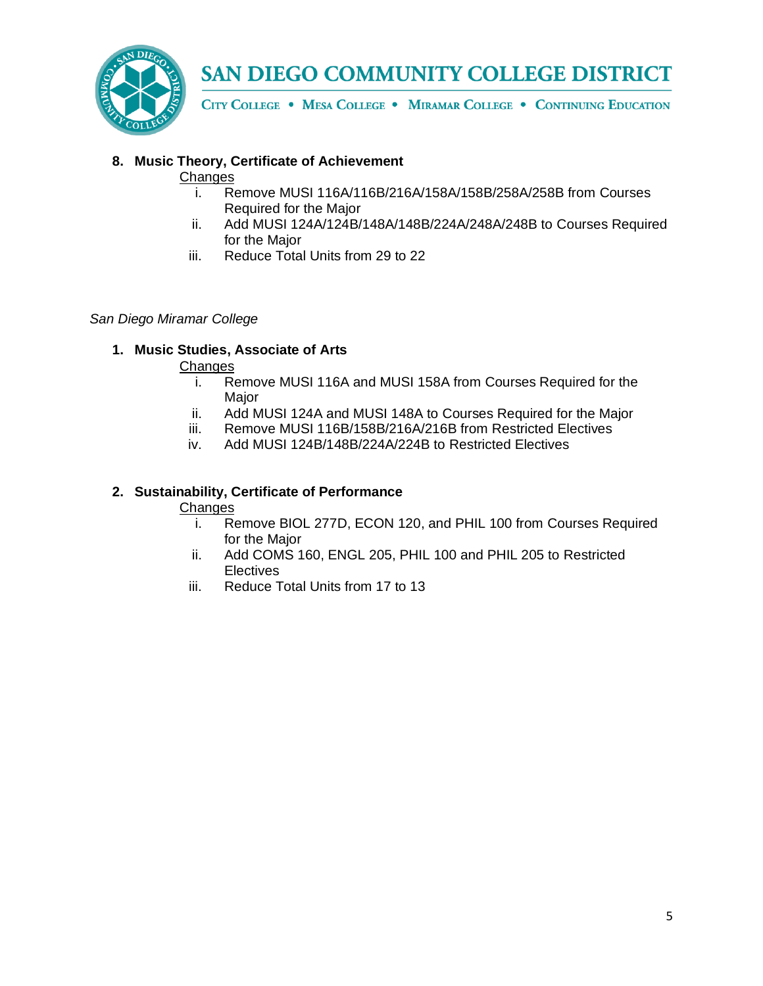

CITY COLLEGE . MESA COLLEGE . MIRAMAR COLLEGE . CONTINUING EDUCATION

# **8. Music Theory, Certificate of Achievement**

#### **Changes**

- i. Remove MUSI 116A/116B/216A/158A/158B/258A/258B from Courses Required for the Major
- ii. Add MUSI 124A/124B/148A/148B/224A/248A/248B to Courses Required for the Major
- iii. Reduce Total Units from 29 to 22

## *San Diego Miramar College*

# **1. Music Studies, Associate of Arts**

## **Changes**

- i. Remove MUSI 116A and MUSI 158A from Courses Required for the Major
- ii. Add MUSI 124A and MUSI 148A to Courses Required for the Major
- iii. Remove MUSI 116B/158B/216A/216B from Restricted Electives
- iv. Add MUSI 124B/148B/224A/224B to Restricted Electives

## **2. Sustainability, Certificate of Performance**

#### Changes

- i. Remove BIOL 277D, ECON 120, and PHIL 100 from Courses Required for the Major
- ii. Add COMS 160, ENGL 205, PHIL 100 and PHIL 205 to Restricted **Electives**
- iii. Reduce Total Units from 17 to 13